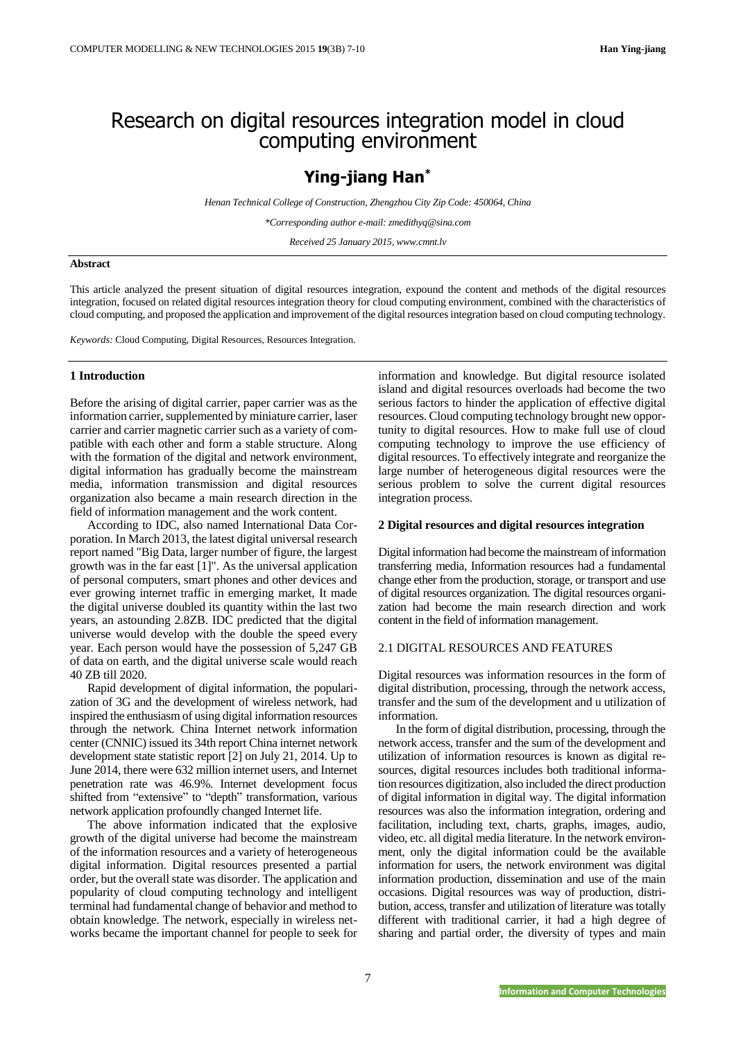# Research on digital resources integration model in cloud computing environment

## **Ying-jiang Han\***

*Henan Technical College of Construction, Zhengzhou City Zip Code: 450064, China*

*\*Corresponding author e-mail: zmedithyq@sina.com*

*Received 25 January 2015, www.cmnt.lv*

## **Abstract**

This article analyzed the present situation of digital resources integration, expound the content and methods of the digital resources integration, focused on related digital resources integration theory for cloud computing environment, combined with the characteristics of cloud computing, and proposed the application and improvement of the digital resources integration based on cloud computing technology.

*Keywords:* Cloud Computing, Digital Resources, Resources Integration.

## **1 Introduction**

Before the arising of digital carrier, paper carrier was as the information carrier, supplemented by miniature carrier, laser carrier and carrier magnetic carrier such as a variety of compatible with each other and form a stable structure. Along with the formation of the digital and network environment, digital information has gradually become the mainstream media, information transmission and digital resources organization also became a main research direction in the field of information management and the work content.

According to IDC, also named International Data Corporation. In March 2013, the latest digital universal research report named "Big Data, larger number of figure, the largest growth was in the far east [1]". As the universal application of personal computers, smart phones and other devices and ever growing internet traffic in emerging market, It made the digital universe doubled its quantity within the last two years, an astounding 2.8ZB. IDC predicted that the digital universe would develop with the double the speed every year. Each person would have the possession of 5,247 GB of data on earth, and the digital universe scale would reach 40 ZB till 2020.

Rapid development of digital information, the popularization of 3G and the development of wireless network, had inspired the enthusiasm of using digital information resources through the network. China Internet network information center (CNNIC) issued its 34th report China internet network development state statistic report [2] on July 21, 2014. Up to June 2014, there were 632 million internet users, and Internet penetration rate was 46.9%. Internet development focus shifted from "extensive" to "depth" transformation, various network application profoundly changed Internet life.

The above information indicated that the explosive growth of the digital universe had become the mainstream of the information resources and a variety of heterogeneous digital information. Digital resources presented a partial order, but the overall state was disorder. The application and popularity of cloud computing technology and intelligent terminal had fundamental change of behavior and method to obtain knowledge. The network, especially in wireless networks became the important channel for people to seek for

information and knowledge. But digital resource isolated island and digital resources overloads had become the two serious factors to hinder the application of effective digital resources. Cloud computing technology brought new opportunity to digital resources. How to make full use of cloud computing technology to improve the use efficiency of digital resources. To effectively integrate and reorganize the large number of heterogeneous digital resources were the serious problem to solve the current digital resources integration process.

### **2 Digital resources and digital resources integration**

Digital information had become the mainstream of information transferring media, Information resources had a fundamental change ether from the production, storage, or transport and use of digital resources organization. The digital resources organization had become the main research direction and work content in the field of information management.

## 2.1 DIGITAL RESOURCES AND FEATURES

Digital resources was information resources in the form of digital distribution, processing, through the network access, transfer and the sum of the development and u utilization of information.

In the form of digital distribution, processing, through the network access, transfer and the sum of the development and utilization of information resources is known as digital resources, digital resources includes both traditional information resources digitization, also included the direct production of digital information in digital way. The digital information resources was also the information integration, ordering and facilitation, including text, charts, graphs, images, audio, video, etc. all digital media literature. In the network environment, only the digital information could be the available information for users, the network environment was digital information production, dissemination and use of the main occasions. Digital resources was way of production, distribution, access, transfer and utilization of literature was totally different with traditional carrier, it had a high degree of sharing and partial order, the diversity of types and main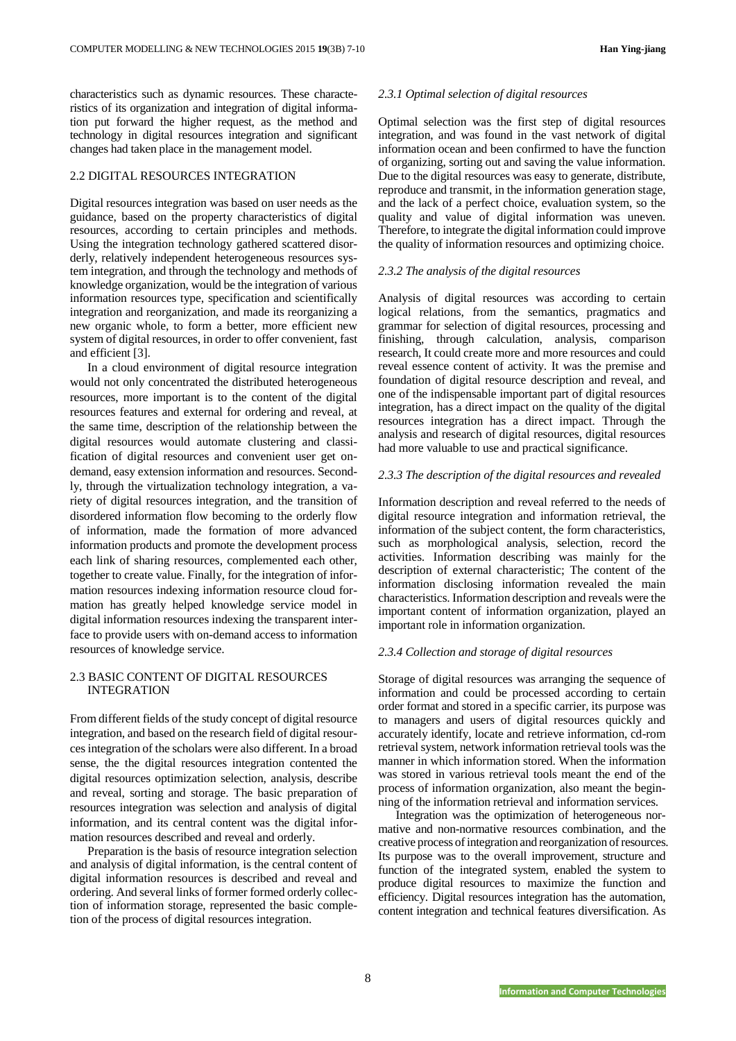characteristics such as dynamic resources. These characteristics of its organization and integration of digital information put forward the higher request, as the method and technology in digital resources integration and significant changes had taken place in the management model.

## 2.2 DIGITAL RESOURCES INTEGRATION

Digital resources integration was based on user needs as the guidance, based on the property characteristics of digital resources, according to certain principles and methods. Using the integration technology gathered scattered disorderly, relatively independent heterogeneous resources system integration, and through the technology and methods of knowledge organization, would be the integration of various information resources type, specification and scientifically integration and reorganization, and made its reorganizing a new organic whole, to form a better, more efficient new system of digital resources, in order to offer convenient, fast and efficient [3].

In a cloud environment of digital resource integration would not only concentrated the distributed heterogeneous resources, more important is to the content of the digital resources features and external for ordering and reveal, at the same time, description of the relationship between the digital resources would automate clustering and classification of digital resources and convenient user get ondemand, easy extension information and resources. Secondly, through the virtualization technology integration, a variety of digital resources integration, and the transition of disordered information flow becoming to the orderly flow of information, made the formation of more advanced information products and promote the development process each link of sharing resources, complemented each other, together to create value. Finally, for the integration of information resources indexing information resource cloud formation has greatly helped knowledge service model in digital information resources indexing the transparent interface to provide users with on-demand access to information resources of knowledge service.

## 2.3 BASIC CONTENT OF DIGITAL RESOURCES INTEGRATION

From different fields of the study concept of digital resource integration, and based on the research field of digital resources integration of the scholars were also different. In a broad sense, the the digital resources integration contented the digital resources optimization selection, analysis, describe and reveal, sorting and storage. The basic preparation of resources integration was selection and analysis of digital information, and its central content was the digital information resources described and reveal and orderly.

Preparation is the basis of resource integration selection and analysis of digital information, is the central content of digital information resources is described and reveal and ordering. And several links of former formed orderly collection of information storage, represented the basic completion of the process of digital resources integration.

## *2.3.1 Optimal selection of digital resources*

Optimal selection was the first step of digital resources integration, and was found in the vast network of digital information ocean and been confirmed to have the function of organizing, sorting out and saving the value information. Due to the digital resources was easy to generate, distribute, reproduce and transmit, in the information generation stage, and the lack of a perfect choice, evaluation system, so the quality and value of digital information was uneven. Therefore, to integrate the digital information could improve the quality of information resources and optimizing choice.

#### *2.3.2 The analysis of the digital resources*

Analysis of digital resources was according to certain logical relations, from the semantics, pragmatics and grammar for selection of digital resources, processing and finishing, through calculation, analysis, comparison research, It could create more and more resources and could reveal essence content of activity. It was the premise and foundation of digital resource description and reveal, and one of the indispensable important part of digital resources integration, has a direct impact on the quality of the digital resources integration has a direct impact. Through the analysis and research of digital resources, digital resources had more valuable to use and practical significance.

#### *2.3.3 The description of the digital resources and revealed*

Information description and reveal referred to the needs of digital resource integration and information retrieval, the information of the subject content, the form characteristics, such as morphological analysis, selection, record the activities. Information describing was mainly for the description of external characteristic; The content of the information disclosing information revealed the main characteristics. Information description and reveals were the important content of information organization, played an important role in information organization.

#### *2.3.4 Collection and storage of digital resources*

Storage of digital resources was arranging the sequence of information and could be processed according to certain order format and stored in a specific carrier, its purpose was to managers and users of digital resources quickly and accurately identify, locate and retrieve information, cd-rom retrieval system, network information retrieval tools wasthe manner in which information stored. When the information was stored in various retrieval tools meant the end of the process of information organization, also meant the beginning of the information retrieval and information services.

Integration was the optimization of heterogeneous normative and non-normative resources combination, and the creative process of integration and reorganization of resources. Its purpose was to the overall improvement, structure and function of the integrated system, enabled the system to produce digital resources to maximize the function and efficiency. Digital resources integration has the automation, content integration and technical features diversification. As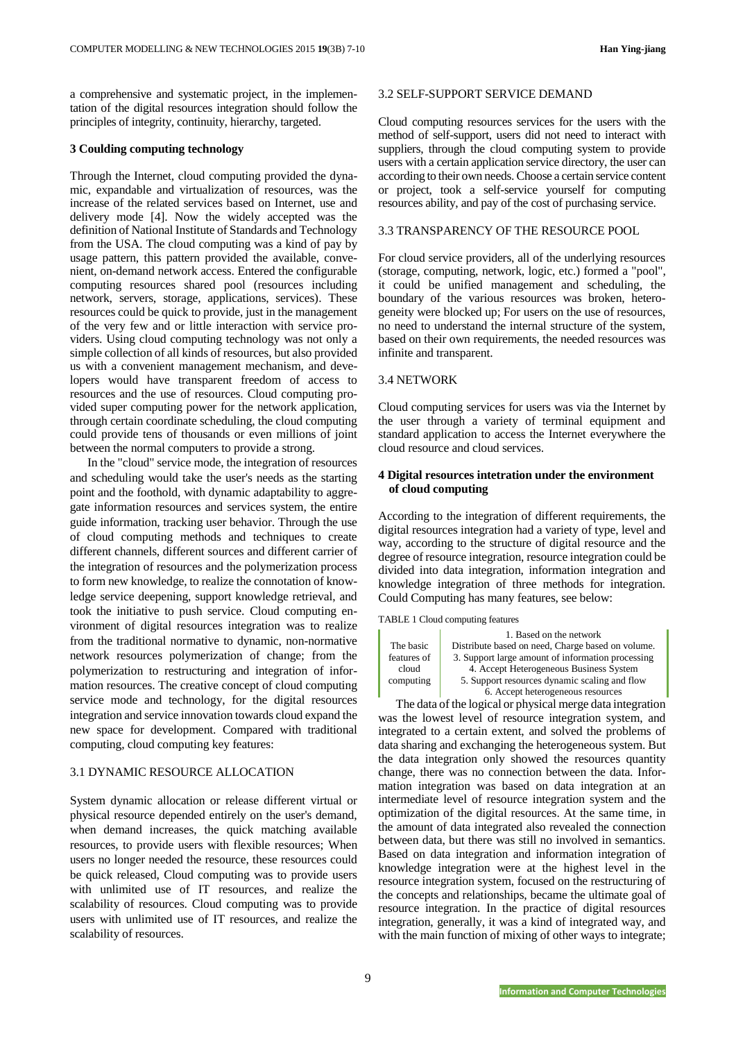a comprehensive and systematic project, in the implementation of the digital resources integration should follow the principles of integrity, continuity, hierarchy, targeted.

## **3 Coulding computing technology**

Through the Internet, cloud computing provided the dynamic, expandable and virtualization of resources, was the increase of the related services based on Internet, use and delivery mode [4]. Now the widely accepted was the definition of National Institute of Standards and Technology from the USA. The cloud computing was a kind of pay by usage pattern, this pattern provided the available, convenient, on-demand network access. Entered the configurable computing resources shared pool (resources including network, servers, storage, applications, services). These resources could be quick to provide, just in the management of the very few and or little interaction with service providers. Using cloud computing technology was not only a simple collection of all kinds of resources, but also provided us with a convenient management mechanism, and developers would have transparent freedom of access to resources and the use of resources. Cloud computing provided super computing power for the network application, through certain coordinate scheduling, the cloud computing could provide tens of thousands or even millions of joint between the normal computers to provide a strong.

In the "cloud" service mode, the integration of resources and scheduling would take the user's needs as the starting point and the foothold, with dynamic adaptability to aggregate information resources and services system, the entire guide information, tracking user behavior. Through the use of cloud computing methods and techniques to create different channels, different sources and different carrier of the integration of resources and the polymerization process to form new knowledge, to realize the connotation of knowledge service deepening, support knowledge retrieval, and took the initiative to push service. Cloud computing environment of digital resources integration was to realize from the traditional normative to dynamic, non-normative network resources polymerization of change; from the polymerization to restructuring and integration of information resources. The creative concept of cloud computing service mode and technology, for the digital resources integration and service innovation towards cloud expand the new space for development. Compared with traditional computing, cloud computing key features:

## 3.1 DYNAMIC RESOURCE ALLOCATION

System dynamic allocation or release different virtual or physical resource depended entirely on the user's demand, when demand increases, the quick matching available resources, to provide users with flexible resources; When users no longer needed the resource, these resources could be quick released, Cloud computing was to provide users with unlimited use of IT resources, and realize the scalability of resources. Cloud computing was to provide users with unlimited use of IT resources, and realize the scalability of resources.

#### 3.2 SELF-SUPPORT SERVICE DEMAND

Cloud computing resources services for the users with the method of self-support, users did not need to interact with suppliers, through the cloud computing system to provide users with a certain application service directory, the user can according to their own needs. Choose a certain service content or project, took a self-service yourself for computing resources ability, and pay of the cost of purchasing service.

#### 3.3 TRANSPARENCY OF THE RESOURCE POOL

For cloud service providers, all of the underlying resources (storage, computing, network, logic, etc.) formed a "pool", it could be unified management and scheduling, the boundary of the various resources was broken, heterogeneity were blocked up; For users on the use of resources, no need to understand the internal structure of the system, based on their own requirements, the needed resources was infinite and transparent.

#### 3.4 NETWORK

Cloud computing services for users was via the Internet by the user through a variety of terminal equipment and standard application to access the Internet everywhere the cloud resource and cloud services.

## **4 Digital resources intetration under the environment of cloud computing**

According to the integration of different requirements, the digital resources integration had a variety of type, level and way, according to the structure of digital resource and the degree of resource integration, resource integration could be divided into data integration, information integration and knowledge integration of three methods for integration. Could Computing has many features, see below:

TABLE 1 Cloud computing features

|             | 1. Based on the network                           |
|-------------|---------------------------------------------------|
| The basic   | Distribute based on need, Charge based on volume. |
| features of | 3. Support large amount of information processing |
| cloud       | 4. Accept Heterogeneous Business System           |
| computing   | 5. Support resources dynamic scaling and flow     |
|             | 6. Accept heterogeneous resources                 |

The data of the logical or physical merge data integration was the lowest level of resource integration system, and integrated to a certain extent, and solved the problems of data sharing and exchanging the heterogeneous system. But the data integration only showed the resources quantity change, there was no connection between the data. Information integration was based on data integration at an intermediate level of resource integration system and the optimization of the digital resources. At the same time, in the amount of data integrated also revealed the connection between data, but there was still no involved in semantics. Based on data integration and information integration of knowledge integration were at the highest level in the resource integration system, focused on the restructuring of the concepts and relationships, became the ultimate goal of resource integration. In the practice of digital resources integration, generally, it was a kind of integrated way, and with the main function of mixing of other ways to integrate;